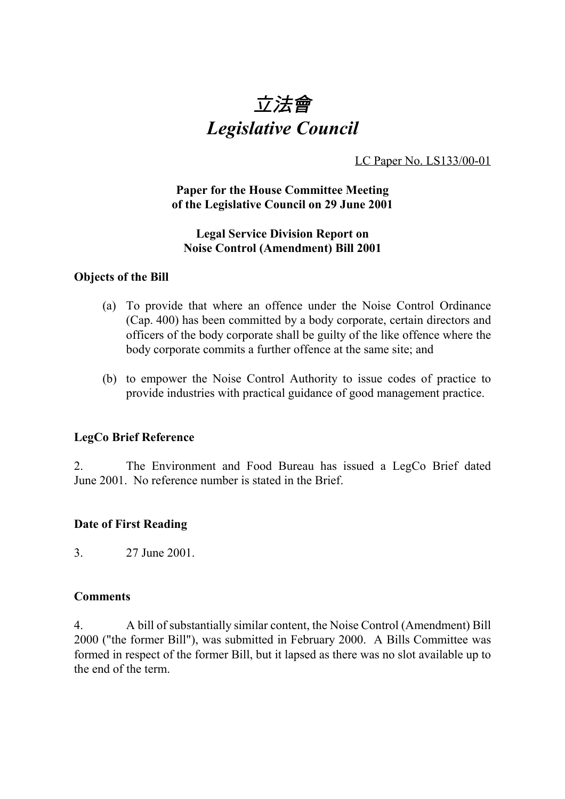

LC Paper No. LS133/00-01

# **Paper for the House Committee Meeting of the Legislative Council on 29 June 2001**

## **Legal Service Division Report on Noise Control (Amendment) Bill 2001**

#### **Objects of the Bill**

- (a) To provide that where an offence under the Noise Control Ordinance (Cap. 400) has been committed by a body corporate, certain directors and officers of the body corporate shall be guilty of the like offence where the body corporate commits a further offence at the same site; and
- (b) to empower the Noise Control Authority to issue codes of practice to provide industries with practical guidance of good management practice.

# **LegCo Brief Reference**

2. The Environment and Food Bureau has issued a LegCo Brief dated June 2001. No reference number is stated in the Brief.

# **Date of First Reading**

3. 27 June 2001.

#### **Comments**

4. A bill of substantially similar content, the Noise Control (Amendment) Bill 2000 ("the former Bill"), was submitted in February 2000. A Bills Committee was formed in respect of the former Bill, but it lapsed as there was no slot available up to the end of the term.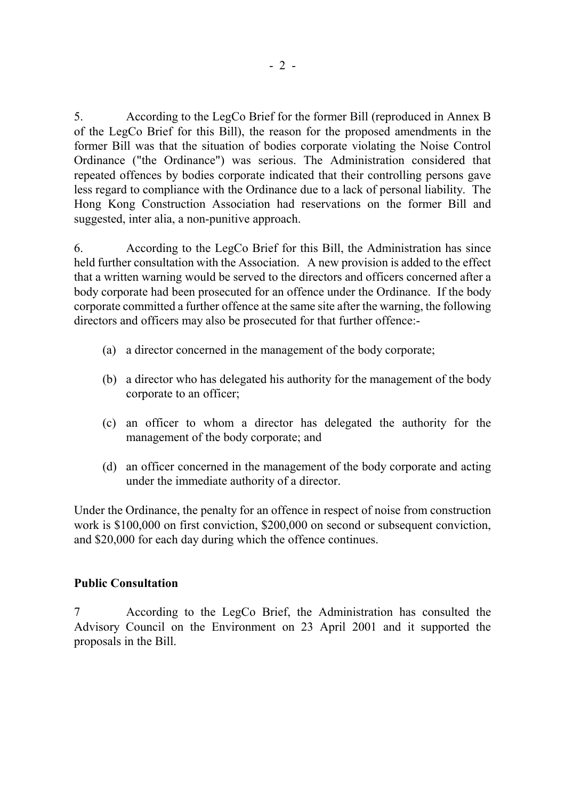5. According to the LegCo Brief for the former Bill (reproduced in Annex B of the LegCo Brief for this Bill), the reason for the proposed amendments in the former Bill was that the situation of bodies corporate violating the Noise Control Ordinance ("the Ordinance") was serious. The Administration considered that repeated offences by bodies corporate indicated that their controlling persons gave less regard to compliance with the Ordinance due to a lack of personal liability. The Hong Kong Construction Association had reservations on the former Bill and suggested, inter alia, a non-punitive approach.

6. According to the LegCo Brief for this Bill, the Administration has since held further consultation with the Association. A new provision is added to the effect that a written warning would be served to the directors and officers concerned after a body corporate had been prosecuted for an offence under the Ordinance. If the body corporate committed a further offence at the same site after the warning, the following directors and officers may also be prosecuted for that further offence:-

- (a) a director concerned in the management of the body corporate;
- (b) a director who has delegated his authority for the management of the body corporate to an officer;
- (c) an officer to whom a director has delegated the authority for the management of the body corporate; and
- (d) an officer concerned in the management of the body corporate and acting under the immediate authority of a director.

Under the Ordinance, the penalty for an offence in respect of noise from construction work is \$100,000 on first conviction, \$200,000 on second or subsequent conviction, and \$20,000 for each day during which the offence continues.

# **Public Consultation**

7 According to the LegCo Brief, the Administration has consulted the Advisory Council on the Environment on 23 April 2001 and it supported the proposals in the Bill.